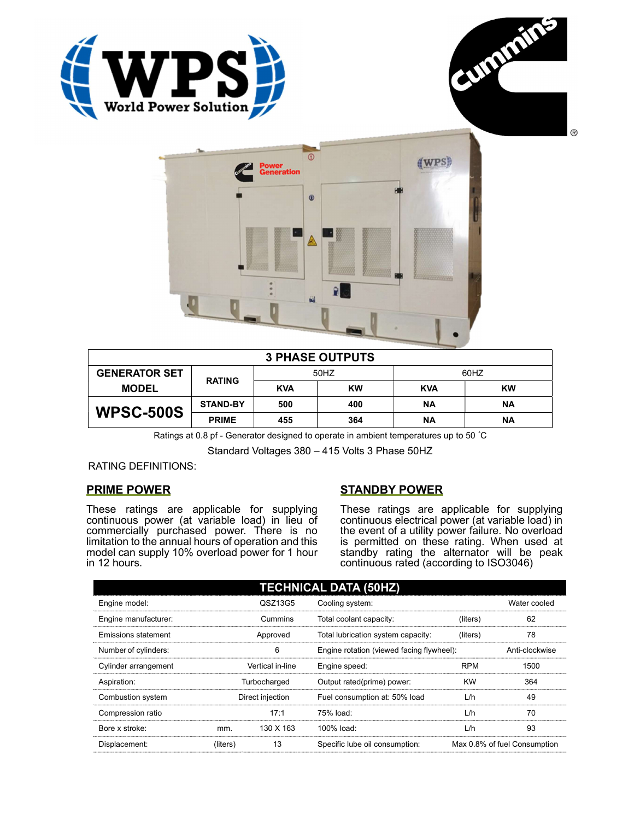





| <b>3 PHASE OUTPUTS</b> |                 |            |           |            |           |  |
|------------------------|-----------------|------------|-----------|------------|-----------|--|
| <b>GENERATOR SET</b>   | <b>RATING</b>   | 50HZ       |           | 60HZ       |           |  |
| <b>MODEL</b>           |                 | <b>KVA</b> | <b>KW</b> | <b>KVA</b> | <b>KW</b> |  |
| <b>WPSC-500S</b>       | <b>STAND-BY</b> | 500        | 400       | ΝA         | <b>NA</b> |  |
|                        | <b>PRIME</b>    | 455        | 364       | ΝA         | ΝA        |  |

Ratings at 0.8 pf - Generator designed to operate in ambient temperatures up to 50 °C

Standard Voltages 380 – 415 Volts 3 Phase 50HZ

RATING DEFINITIONS:

## PRIME POWER

These ratings are applicable for supplying continuous power (at variable load) in lieu of commercially purchased power. There is no limitation to the annual hours of operation and this model can supply 10% overload power for 1 hour in 12 hours.

## STANDBY POWER

These ratings are applicable for supplying continuous electrical power (at variable load) in the event of a utility power failure. No overload is permitted on these rating. When used at standby rating the alternator will be peak continuous rated (according to ISO3046)

| <b>TECHNICAL DATA (50HZ)</b> |                  |           |                                           |            |                              |  |
|------------------------------|------------------|-----------|-------------------------------------------|------------|------------------------------|--|
| Engine model:                |                  | QSZ13G5   | Cooling system:                           |            | Water cooled                 |  |
| Engine manufacturer:         |                  | Cummins   | Total coolant capacity:                   | (liters)   | 62                           |  |
| Emissions statement          | Approved         |           | Total lubrication system capacity:        | (liters)   | 78                           |  |
| Number of cylinders:         | 6                |           | Engine rotation (viewed facing flywheel): |            | Anti-clockwise               |  |
| Cylinder arrangement         | Vertical in-line |           | Engine speed:                             | <b>RPM</b> | 1500                         |  |
| Aspiration:                  | Turbocharged     |           | Output rated(prime) power:                | <b>KW</b>  | 364                          |  |
| Combustion system            | Direct injection |           | Fuel consumption at: 50% load             | L/h        | 49                           |  |
| Compression ratio            |                  | 17:1      | 75% load:                                 | L/h        | 70                           |  |
| Bore x stroke:               | mm.              | 130 X 163 | 100% load:                                | L/h        | 93                           |  |
| Displacement:                | (liters)         | 13        | Specific lube oil consumption:            |            | Max 0.8% of fuel Consumption |  |